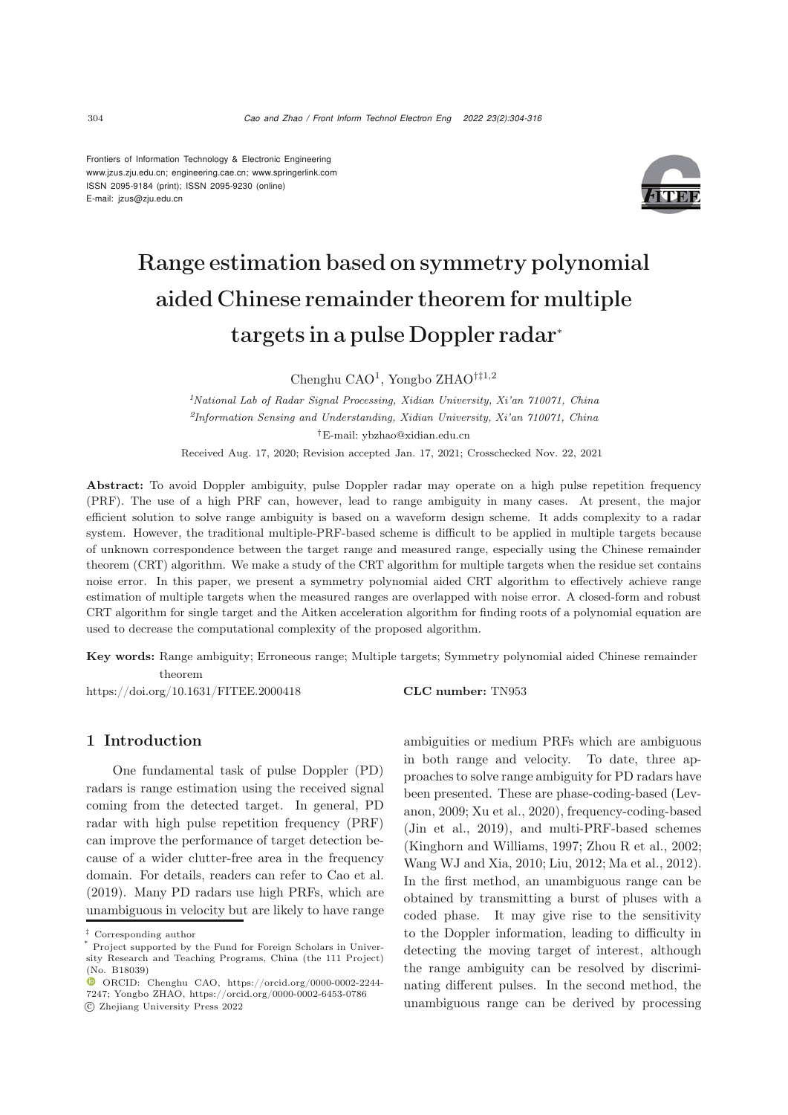Frontiers of Information Technology & Electronic Engineering [www.jzus.zju.edu.cn;](www.jzus.zju.edu.cn) [engineering.cae.cn;](engineering.cae.cn)<www.springerlink.com> ISSN 2095-9184 (print); ISSN 2095-9230 (online) E-mail: jzus@zju.edu.cn



# Range estimation based on symmetry polynomial aided Chinese remainder theorem for multiple targets in a pulse Doppler radar<sup>∗</sup>

Chenghu CAO<sup>1</sup>, Yongbo ZHAO†‡1,2

*<sup>1</sup>National Lab of Radar Signal Processing, Xidian University, Xi'an 710071, China <sup>2</sup>Information Sensing and Understanding, Xidian University, Xi'an 710071, China †*E-mail: ybzhao@xidian.edu.cn

Received Aug. 17, 2020; Revision accepted Jan. 17, 2021; Crosschecked Nov. 22, 2021

Abstract: To avoid Doppler ambiguity, pulse Doppler radar may operate on a high pulse repetition frequency (PRF). The use of a high PRF can, however, lead to range ambiguity in many cases. At present, the major efficient solution to solve range ambiguity is based on a waveform design scheme. It adds complexity to a radar system. However, the traditional multiple-PRF-based scheme is difficult to be applied in multiple targets because of unknown correspondence between the target range and measured range, especially using the Chinese remainder theorem (CRT) algorithm. We make a study of the CRT algorithm for multiple targets when the residue set contains noise error. In this paper, we present a symmetry polynomial aided CRT algorithm to effectively achieve range estimation of multiple targets when the measured ranges are overlapped with noise error. A closed-form and robust CRT algorithm for single target and the Aitken acceleration algorithm for finding roots of a polynomial equation are used to decrease the computational complexity of the proposed algorithm.

Key words: Range ambiguity; Erroneous range; Multiple targets; Symmetry polynomial aided Chinese remainder theorem

https://doi.org/10.1631/FITEE.2000418 **CLC number:** TN953

# 1 Introduction

One fundamental task of pulse Doppler (PD) radars is range estimation using the received signal coming from the detected target. In general, PD radar with high pulse repetition frequency (PRF) can improve the performance of target detection because of a wider clutter-free area in the frequency domain. For details, readers can refer to [Cao et al.](#page-9-0) [\(2019](#page-9-0)). Many PD radars use high PRFs, which are unambiguous in velocity but are likely to have range ambiguities or medium PRFs which are ambiguous in both range and velocity. To date, three approaches to solve range ambiguity for PD radars have been [presented.](#page-9-1) [These](#page-9-1) [are](#page-9-1) [phase-coding-based](#page-9-1) [\(](#page-9-1)Levanon, [2009;](#page-9-1) [Xu et al.](#page-10-0), [2020\)](#page-10-0), frequency-coding-based [\(Jin et al.](#page-9-2), [2019\)](#page-9-2), and multi-PRF-based schemes [\(Kinghorn and Williams](#page-9-3), [1997](#page-9-3); [Zhou R et al.](#page-10-1), [2002;](#page-10-1) [Wang WJ and Xia](#page-9-4), [2010;](#page-9-4) [Liu](#page-9-5), [2012](#page-9-5); [Ma et al.](#page-9-6), [2012\)](#page-9-6). In the first method, an unambiguous range can be obtained by transmitting a burst of pluses with a coded phase. It may give rise to the sensitivity to the Doppler information, leading to difficulty in detecting the moving target of interest, although the range ambiguity can be resolved by discriminating different pulses. In the second method, the unambiguous range can be derived by processing

*<sup>‡</sup>* Corresponding author

Project supported by the Fund for Foreign Scholars in University Research and Teaching Programs, China (the 111 Project) (No. B18039)

ORCID: Chenghu CAO, https://orcid.org/0000-0002-2244- 7247; Yongbo ZHAO, https://orcid.org/0000-0002-6453-0786 c Zhejiang University Press 2022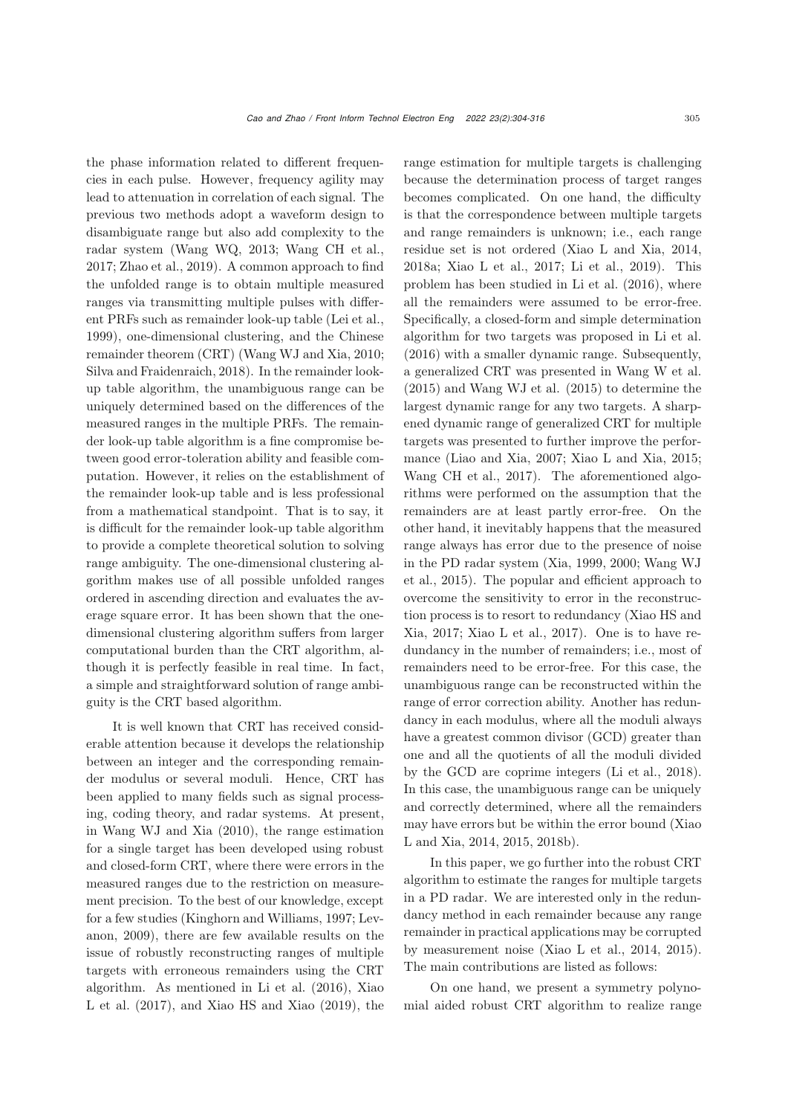the phase information related to different frequencies in each pulse. However, frequency agility may lead to attenuation in correlation of each signal. The previous two methods adopt a waveform design to disambiguate range but also add complexity to the radar system [\(Wang WQ](#page-10-2), [2013](#page-10-2); [Wang CH et al.](#page-9-7), [2017](#page-9-7); [Zhao et al., 2019](#page-10-3)). A common approach to find the unfolded range is to obtain multiple measured ranges via transmitting multiple pulses with different PRFs such as remainder look-up table [\(Lei et al.](#page-9-8), [1999](#page-9-8)), one-dimensional clustering, and the Chinese remainder theorem (CRT) [\(Wang WJ and Xia](#page-9-4), [2010;](#page-9-4) [Silva and Fraidenraich, 2018](#page-9-9)). In the remainder lookup table algorithm, the unambiguous range can be uniquely determined based on the differences of the measured ranges in the multiple PRFs. The remainder look-up table algorithm is a fine compromise between good error-toleration ability and feasible computation. However, it relies on the establishment of the remainder look-up table and is less professional from a mathematical standpoint. That is to say, it is difficult for the remainder look-up table algorithm to provide a complete theoretical solution to solving range ambiguity. The one-dimensional clustering algorithm makes use of all possible unfolded ranges ordered in ascending direction and evaluates the average square error. It has been shown that the onedimensional clustering algorithm suffers from larger computational burden than the CRT algorithm, although it is perfectly feasible in real time. In fact, a simple and straightforward solution of range ambiguity is the CRT based algorithm.

It is well known that CRT has received considerable attention because it develops the relationship between an integer and the corresponding remainder modulus or several moduli. Hence, CRT has been applied to many fields such as signal processing, coding theory, and radar systems. At present, in [Wang WJ and Xia](#page-9-4) [\(2010\)](#page-9-4), the range estimation for a single target has been developed using robust and closed-form CRT, where there were errors in the measured ranges due to the restriction on measurement precision. To the best of our knowledge, except for a [few](#page-9-1) [studies](#page-9-1) [\(Kinghorn and Williams](#page-9-3)[,](#page-9-1) [1997](#page-9-3)[;](#page-9-1) Levanon, [2009](#page-9-1)), there are few available results on the issue of robustly reconstructing ranges of multiple targets with erroneous remainders using the CRT algorit[hm.](#page-10-4) [As](#page-10-4) [mentioned](#page-10-4) [in](#page-10-4) [Li et al.](#page-9-10) [\(2016](#page-9-10)[\),](#page-10-4) Xiao L et al.  $(2017)$  $(2017)$ , and [Xiao HS and Xiao](#page-10-5)  $(2019)$ , the

range estimation for multiple targets is challenging because the determination process of target ranges becomes complicated. On one hand, the difficulty is that the correspondence between multiple targets and range remainders is unknown; i.e., each range residue set is not ordered (Xiao L and Xia, 2014, 2018a; Xiao L et al., 2017; Li et al., 2019). This problem has been studied in [Li et al.](#page-9-10) [\(2016\)](#page-9-10), where all the remainders were assumed to be error-free. Specifically, a closed-form and simple determination algorithm for two targets was proposed in [Li et al.](#page-9-10) [\(2016](#page-9-10)) with a smaller dynamic range. Subsequently, a generalized CRT was presented in Wang W et al. (2015) and Wang WJ et al. (2015) to determine the largest dynamic range for any two targets. A sharpened dynamic range of generalized CRT for multiple targets was presented to further improve the performance [\(Liao and Xia](#page-9-11), [2007](#page-9-11); [Xiao L and Xia, 2015;](#page-10-6) [Wang CH et al.](#page-9-7), [2017](#page-9-7)). The aforementioned algorithms were performed on the assumption that the remainders are at least partly error-free. On the other hand, it inevitably happens that the measured range always has error due to the presence of noise in th[e](#page-10-9) [PD](#page-10-9) [radar](#page-10-9) [system](#page-10-9) [\(Xia](#page-10-7)[,](#page-10-9) [1999](#page-10-7)[,](#page-10-9) [2000](#page-10-8)[;](#page-10-9) Wang WJ et al., [2015\)](#page-10-9). The popular and efficient approach to overcome the sensitivity to error in the reconstructio[n](#page-10-10) [process](#page-10-10) [is](#page-10-10) [to](#page-10-10) [resort](#page-10-10) [to](#page-10-10) [redundancy](#page-10-10) [\(](#page-10-10)Xiao HS and Xia, [2017](#page-10-10); [Xiao L et al.](#page-10-4), [2017](#page-10-4)). One is to have redundancy in the number of remainders; i.e., most of remainders need to be error-free. For this case, the unambiguous range can be reconstructed within the range of error correction ability. Another has redundancy in each modulus, where all the moduli always have a greatest common divisor (GCD) greater than one and all the quotients of all the moduli divided by the GCD are coprime integers [\(Li et al., 2018\)](#page-9-12). In this case, the unambiguous range can be uniquely and correctly determined, where all the remainders may have [errors](#page-10-11) [but](#page-10-11) [be](#page-10-11) [within](#page-10-11) [the](#page-10-11) [error](#page-10-11) [bound](#page-10-11) [\(](#page-10-11)Xiao L and Xia, [2014,](#page-10-11) [2015](#page-10-6), [2018b](#page-10-12)).

In this paper, we go further into the robust CRT algorithm to estimate the ranges for multiple targets in a PD radar. We are interested only in the redundancy method in each remainder because any range remainder in practical applications may be corrupted by measurement noise [\(Xiao L et al., 2014,](#page-10-13) [2015\)](#page-10-14). The main contributions are listed as follows:

On one hand, we present a symmetry polynomial aided robust CRT algorithm to realize range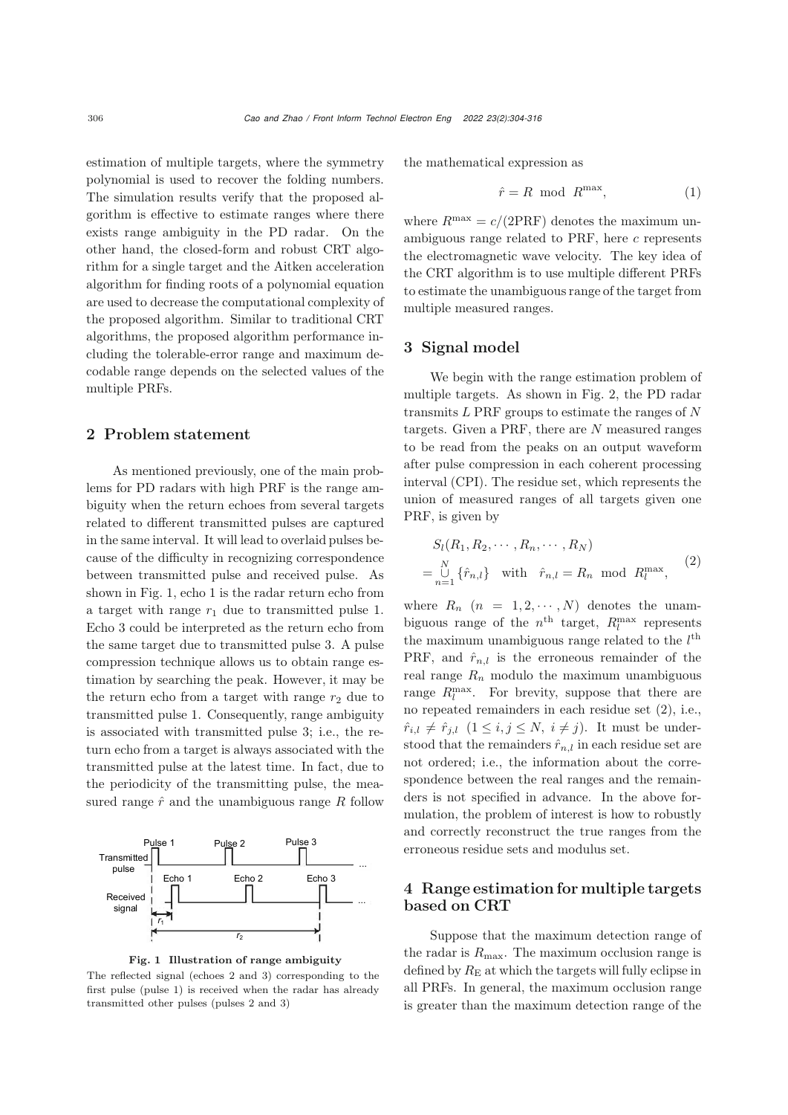estimation of multiple targets, where the symmetry polynomial is used to recover the folding numbers. The simulation results verify that the proposed algorithm is effective to estimate ranges where there exists range ambiguity in the PD radar. On the other hand, the closed-form and robust CRT algorithm for a single target and the Aitken acceleration algorithm for finding roots of a polynomial equation are used to decrease the computational complexity of the proposed algorithm. Similar to traditional CRT algorithms, the proposed algorithm performance including the tolerable-error range and maximum decodable range depends on the selected values of the multiple PRFs.

#### 2 Problem statement

As mentioned previously, one of the main problems for PD radars with high PRF is the range ambiguity when the return echoes from several targets related to different transmitted pulses are captured in the same interval. It will lead to overlaid pulses because of the difficulty in recognizing correspondence between transmitted pulse and received pulse. As shown in Fig. [1,](#page-2-0) echo 1 is the radar return echo from a target with range  $r_1$  due to transmitted pulse 1. Echo 3 could be interpreted as the return echo from the same target due to transmitted pulse 3. A pulse compression technique allows us to obtain range estimation by searching the peak. However, it may be the return echo from a target with range  $r_2$  due to transmitted pulse 1. Consequently, range ambiguity is associated with transmitted pulse 3; i.e., the return echo from a target is always associated with the transmitted pulse at the latest time. In fact, due to the periodicity of the transmitting pulse, the measured range  $\hat{r}$  and the unambiguous range R follow



<span id="page-2-0"></span>Fig. 1 Illustration of range ambiguity

The reflected signal (echoes 2 and 3) corresponding to the first pulse (pulse 1) is received when the radar has already transmitted other pulses (pulses 2 and 3)

the mathematical expression as

$$
\hat{r} = R \text{ mod } R^{\text{max}},\tag{1}
$$

where  $R^{\text{max}} = c/(2PRF)$  denotes the maximum unambiguous range related to PRF, here  $c$  represents the electromagnetic wave velocity. The key idea of the CRT algorithm is to use multiple different PRFs to estimate the unambiguous range of the target from multiple measured ranges.

## 3 Signal model

We begin with the range estimation problem of multiple targets. As shown in Fig. [2,](#page-3-0) the PD radar transmits  $L$  PRF groups to estimate the ranges of  $N$ targets. Given a PRF, there are  $N$  measured ranges to be read from the peaks on an output waveform after pulse compression in each coherent processing interval (CPI). The residue set, which represents the union of measured ranges of all targets given one PRF, is given by

$$
S_l(R_1, R_2, \cdots, R_n, \cdots, R_N)
$$
  
= 
$$
\bigcup_{n=1}^N \{\hat{r}_{n,l}\} \text{ with } \hat{r}_{n,l} = R_n \text{ mod } R_l^{\max},
$$
 (2)

where  $R_n$   $(n = 1, 2, \cdots, N)$  denotes the unambiguous range of the  $n<sup>th</sup>$  target,  $R_l^{\max}$  represents the maximum unambiguous range related to the  $l^{\text{th}}$ PRF, and  $\hat{r}_{n,l}$  is the erroneous remainder of the real range  $R_n$  modulo the maximum unambiguous range  $R_l^{\text{max}}$ . For brevity, suppose that there are no repeated remainders in each residue set (2), i.e.,  $\hat{r}_{i,l} \neq \hat{r}_{j,l}$   $(1 \leq i,j \leq N, i \neq j)$ . It must be understood that the remainders  $\hat{r}_{n,l}$  in each residue set are not ordered; i.e., the information about the correspondence between the real ranges and the remainders is not specified in advance. In the above formulation, the problem of interest is how to robustly and correctly reconstruct the true ranges from the erroneous residue sets and modulus set.

# 4 Range estimation for multiple targets based on CRT

Suppose that the maximum detection range of the radar is  $R_{\text{max}}$ . The maximum occlusion range is defined by  $R_{\rm E}$  at which the targets will fully eclipse in all PRFs. In general, the maximum occlusion range is greater than the maximum detection range of the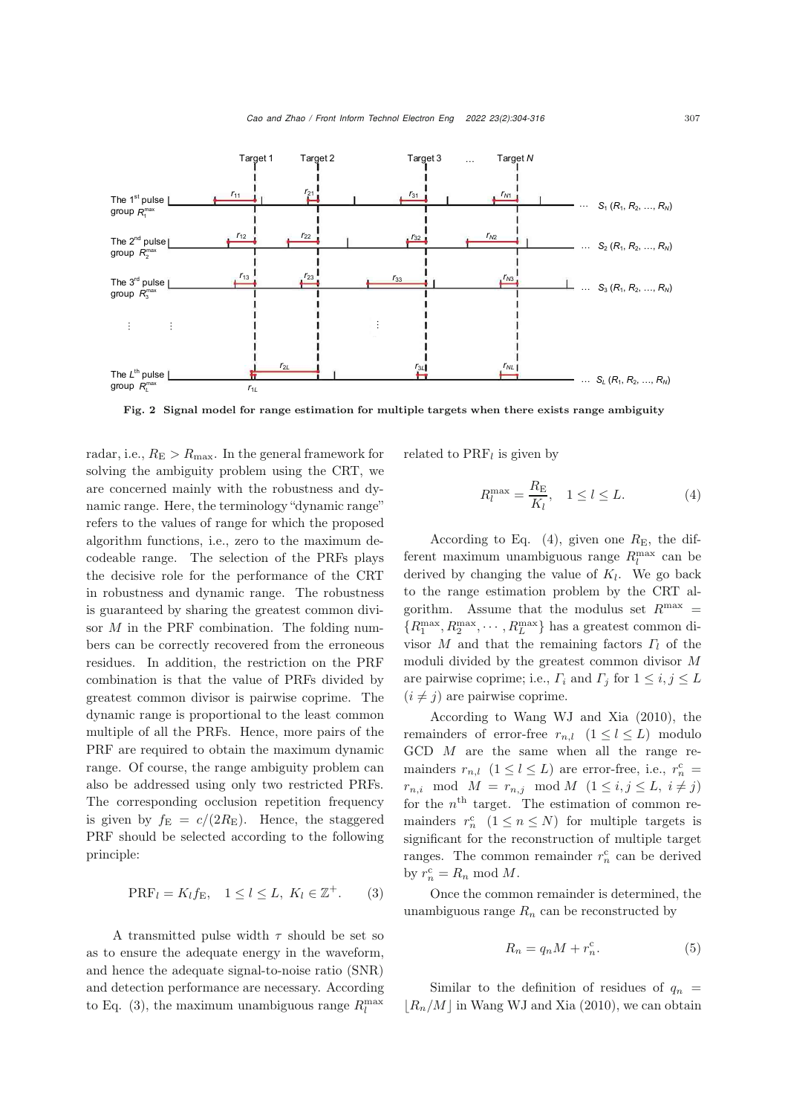

<span id="page-3-0"></span>Fig. 2 Signal model for range estimation for multiple targets when there exists range ambiguity

radar, i.e.,  $R_{\rm E} > R_{\rm max}$ . In the general framework for solving the ambiguity problem using the CRT, we are concerned mainly with the robustness and dynamic range. Here, the terminology "dynamic range" refers to the values of range for which the proposed algorithm functions, i.e., zero to the maximum decodeable range. The selection of the PRFs plays the decisive role for the performance of the CRT in robustness and dynamic range. The robustness is guaranteed by sharing the greatest common divisor M in the PRF combination. The folding numbers can be correctly recovered from the erroneous residues. In addition, the restriction on the PRF combination is that the value of PRFs divided by greatest common divisor is pairwise coprime. The dynamic range is proportional to the least common multiple of all the PRFs. Hence, more pairs of the PRF are required to obtain the maximum dynamic range. Of course, the range ambiguity problem can also be addressed using only two restricted PRFs. The corresponding occlusion repetition frequency is given by  $f_{\rm E} = c/(2R_{\rm E})$ . Hence, the staggered PRF should be selected according to the following principle:

$$
\text{PRF}_l = K_l f_{\text{E}}, \quad 1 \le l \le L, \ K_l \in \mathbb{Z}^+.
$$
 (3)

A transmitted pulse width  $\tau$  should be set so as to ensure the adequate energy in the waveform, and hence the adequate signal-to-noise ratio (SNR) and detection performance are necessary. According to Eq. (3), the maximum unambiguous range  $R_l^{\text{max}}$ 

related to  $PRF_l$  is given by

$$
R_l^{\max} = \frac{R_{\rm E}}{K_l}, \quad 1 \le l \le L. \tag{4}
$$

According to Eq.  $(4)$ , given one  $R_{\rm E}$ , the different maximum unambiguous range  $R_l^{\text{max}}$  can be derived by changing the value of  $K_l$ . We go back to the range estimation problem by the CRT algorithm. Assume that the modulus set  $R^{\text{max}} =$  $\{R_1^{\max}, R_2^{\max}, \cdots, R_L^{\max}\}$  has a greatest common divisor M and that the remaining factors  $\Gamma_l$  of the moduli divided by the greatest common divisor M are pairwise coprime; i.e.,  $\Gamma_i$  and  $\Gamma_j$  for  $1 \leq i, j \leq L$  $(i \neq j)$  are pairwise coprime.

According to [Wang WJ and Xia](#page-9-4) [\(2010](#page-9-4)), the remainders of error-free  $r_{n,l}$   $(1 \leq l \leq L)$  modulo GCD M are the same when all the range remainders  $r_{n,l}$   $(1 \leq l \leq L)$  are error-free, i.e.,  $r_n^c$  =  $r_{n,i} \mod M = r_{n,j} \mod M \ (1 \leq i,j \leq L, i \neq j)$ for the  $n<sup>th</sup>$  target. The estimation of common remainders  $r_n^c$   $(1 \le n \le N)$  for multiple targets is significant for the reconstruction of multiple target ranges. The common remainder  $r_n^c$  can be derived by  $r_n^c = R_n \text{ mod } M$ .

Once the common remainder is determined, the unambiguous range  $R_n$  can be reconstructed by

$$
R_n = q_n M + r_n^{\rm c}.\tag{5}
$$

Similar to the definition of residues of  $q_n$  =  $|R_n/M|$  in [Wang WJ and Xia](#page-9-4) [\(2010\)](#page-9-4), we can obtain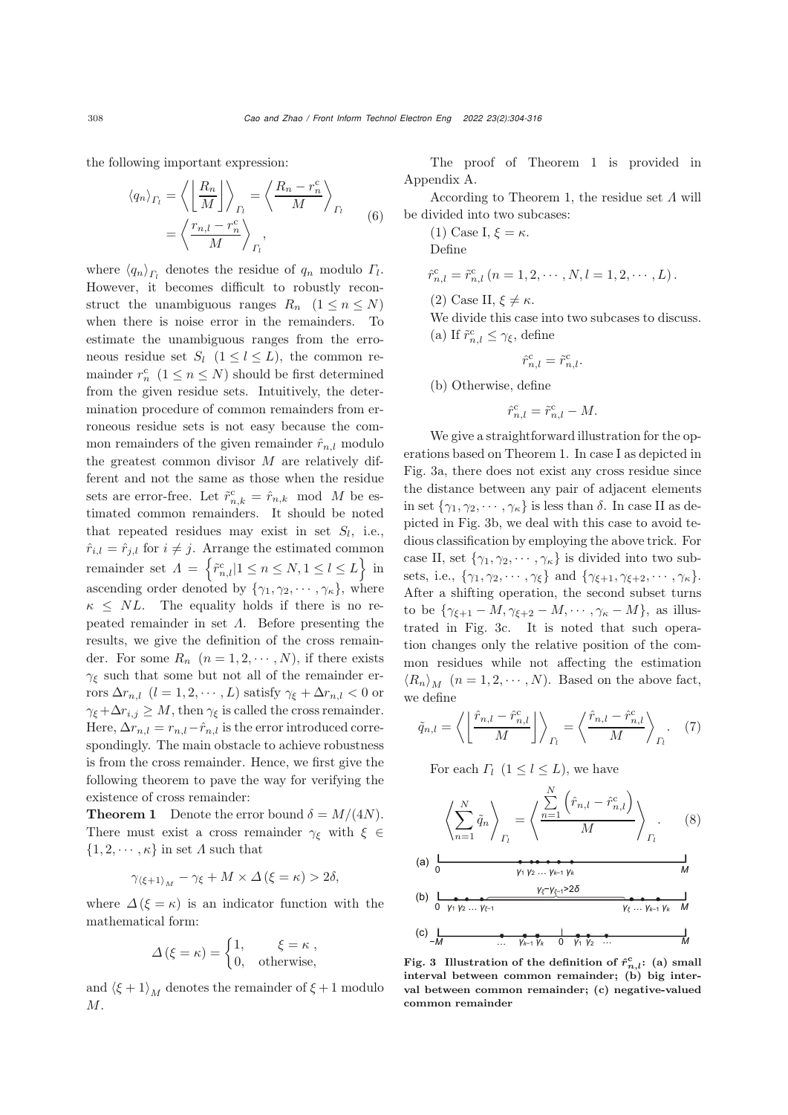the following important expression:

$$
\langle q_n \rangle_{\Gamma_l} = \left\langle \left( \frac{R_n}{M} \right) \right\rangle_{\Gamma_l} = \left\langle \frac{R_n - r_n^c}{M} \right\rangle_{\Gamma_l}
$$

$$
= \left\langle \frac{r_{n,l} - r_n^c}{M} \right\rangle_{\Gamma_l}, \tag{6}
$$

where  $\langle q_n \rangle_{\Gamma}$  denotes the residue of  $q_n$  modulo  $\Gamma_l$ . However, it becomes difficult to robustly reconstruct the unambiguous ranges  $R_n$   $(1 \leq n \leq N)$ when there is noise error in the remainders. To estimate the unambiguous ranges from the erroneous residue set  $S_l$   $(1 \leq l \leq L)$ , the common remainder  $r_n^{\text{c}}$   $(1 \leq n \leq N)$  should be first determined from the given residue sets. Intuitively, the determination procedure of common remainders from erroneous residue sets is not easy because the common remainders of the given remainder  $\hat{r}_{n,l}$  modulo the greatest common divisor  $M$  are relatively different and not the same as those when the residue sets are error-free. Let  $\tilde{r}_{n,k}^{\rm c} = \hat{r}_{n,k}$  mod M be estimated common remainders. It should be noted that repeated residues may exist in set  $S_l$ , i.e.,  $\hat{r}_{i,l} = \hat{r}_{j,l}$  for  $i \neq j$ . Arrange the estimated common remainder set  $A = \left\{ \tilde{r}_{n,l}^c | 1 \leq n \leq N, 1 \leq l \leq L \right\}$  in ascending order denoted by  $\{\gamma_1, \gamma_2, \cdots, \gamma_{\kappa}\}\$ , where  $\kappa \leq NL$ . The equality holds if there is no repeated remainder in set  $\Lambda$ . Before presenting the results, we give the definition of the cross remainder. For some  $R_n$   $(n = 1, 2, \cdots, N)$ , if there exists  $\gamma_{\xi}$  such that some but not all of the remainder errors  $\Delta r_{n,l}$   $(l = 1, 2, \cdots, L)$  satisfy  $\gamma_{\xi} + \Delta r_{n,l} < 0$  or  $\gamma_{\xi} + \Delta r_{i,j} \geq M$ , then  $\gamma_{\xi}$  is called the cross remainder. Here,  $\Delta r_{n,l} = r_{n,l} - \hat{r}_{n,l}$  is the error introduced correspondingly. The main obstacle to achieve robustness is from the cross remainder. Hence, we first give the following theorem to pave the way for verifying the existence of cross remainder:

**Theorem 1** Denote the error bound  $\delta = M/(4N)$ . There must exist a cross remainder  $\gamma_{\xi}$  with  $\xi \in$  $\{1, 2, \dots, \kappa\}$  in set  $\Lambda$  such that

$$
\gamma_{\langle \xi+1 \rangle_M} - \gamma_{\xi} + M \times \Delta \left( \xi = \kappa \right) > 2\delta,
$$

where  $\Delta(\xi = \kappa)$  is an indicator function with the mathematical form:

$$
\Delta(\xi = \kappa) = \begin{cases} 1, & \xi = \kappa ,\\ 0, & \text{otherwise,} \end{cases}
$$

and  $\langle \xi + 1 \rangle_M$  denotes the remainder of  $\xi + 1$  modulo M.

The proof of Theorem 1 is provided in Appendix A.

According to Theorem 1, the residue set  $\Lambda$  will be divided into two subcases:

(1) Case I,  $\xi = \kappa$ . Define

$$
\hat{r}_{n,l}^{\rm c} = \tilde{r}_{n,l}^{\rm c} (n = 1, 2, \cdots, N, l = 1, 2, \cdots, L).
$$

(2) Case II,  $\xi \neq \kappa$ .

We divide this case into two subcases to discuss.

(a) If  $\tilde{r}^{\mathrm{c}}_{n,l} \leq \gamma_{\xi},$  define

$$
\hat{r}_{n,l}^{\text{c}} = \tilde{r}_{n,l}^{\text{c}}.
$$

(b) Otherwise, define

$$
\hat{r}_{n,l}^{\mathrm{c}} = \tilde{r}_{n,l}^{\mathrm{c}} - M.
$$

We give a straightforward illustration for the operations based on Theorem 1. In case I as depicted in Fig. [3a](#page-4-0), there does not exist any cross residue since the distance between any pair of adjacent elements in set  $\{\gamma_1, \gamma_2, \cdots, \gamma_\kappa\}$  is less than  $\delta$ . In case II as depicted in Fig. [3b](#page-4-0), we deal with this case to avoid tedious classification by employing the above trick. For case II, set  $\{\gamma_1, \gamma_2, \cdots, \gamma_\kappa\}$  is divided into two subsets, i.e.,  $\{\gamma_1, \gamma_2, \cdots, \gamma_\xi\}$  and  $\{\gamma_{\xi+1}, \gamma_{\xi+2}, \cdots, \gamma_\kappa\}.$ After a shifting operation, the second subset turns to be  $\{\gamma_{\xi+1} - M, \gamma_{\xi+2} - M, \cdots, \gamma_{\kappa} - M\}$ , as illustrated in Fig. [3c](#page-4-0). It is noted that such operation changes only the relative position of the common residues while not affecting the estimation  $\langle R_n \rangle_M$   $(n = 1, 2, \dots, N)$ . Based on the above fact, we define

$$
\tilde{q}_{n,l} = \left\langle \left( \frac{\hat{r}_{n,l} - \hat{r}_{n,l}^{\text{c}}}{M} \right) \right\rangle_{\Gamma_l} = \left\langle \frac{\hat{r}_{n,l} - \hat{r}_{n,l}^{\text{c}}}{M} \right\rangle_{\Gamma_l} . \quad (7)
$$

For each  $\Gamma_l$  (1  $\leq l \leq L$ ), we have

$$
\left\langle \sum_{n=1}^{N} \tilde{q}_n \right\rangle_{\Gamma_l} = \left\langle \frac{\sum_{n=1}^{N} \left( \hat{r}_{n,l} - \hat{r}_{n,l}^c \right)}{M} \right\rangle_{\Gamma_l} . \tag{8}
$$

(a) 
$$
\frac{1}{0}
$$
  
\n(b) 
$$
\frac{1}{0 \quad \gamma_1 \gamma_2 ... \gamma_{k-1} \gamma_k}
$$
  
\n(c) 
$$
\frac{1}{-M}
$$
  
\n(d) 
$$
\frac{1}{0 \quad \gamma_1 \gamma_2 ... \gamma_{k-1}}
$$
  
\n(e) 
$$
\frac{1}{0 \quad \gamma_1 \gamma_2 ... \gamma_{k-1} \gamma_k}
$$
  
\n(f) 
$$
\frac{1}{0 \quad \gamma_1 \gamma_2 ... \gamma_{k-1} \gamma_k}
$$
  
\n(g) 
$$
\frac{1}{0 \quad \gamma_1 \gamma_2 ... \gamma_{k-1} \gamma_k}
$$
  
\n(h) 
$$
\frac{1}{0 \quad \gamma_1 \gamma_2 ... \gamma_{k-1} \gamma_k}
$$
  
\n(iii) 
$$
\frac{1}{0 \quad \gamma_1 \gamma_2 ... \gamma_{k-1} \gamma_k}
$$
  
\n(j) 
$$
\frac{1}{0 \quad \gamma_1 \gamma_2 ... \gamma_{k-1} \gamma_k}
$$

<span id="page-4-0"></span>Fig. 3 Illustration of the definition of  $\hat{r}_{n,l}^{\text{c}}$ : (a) small interval between common remainder; (b) big interval between common remainder; (c) negative-valued common remainder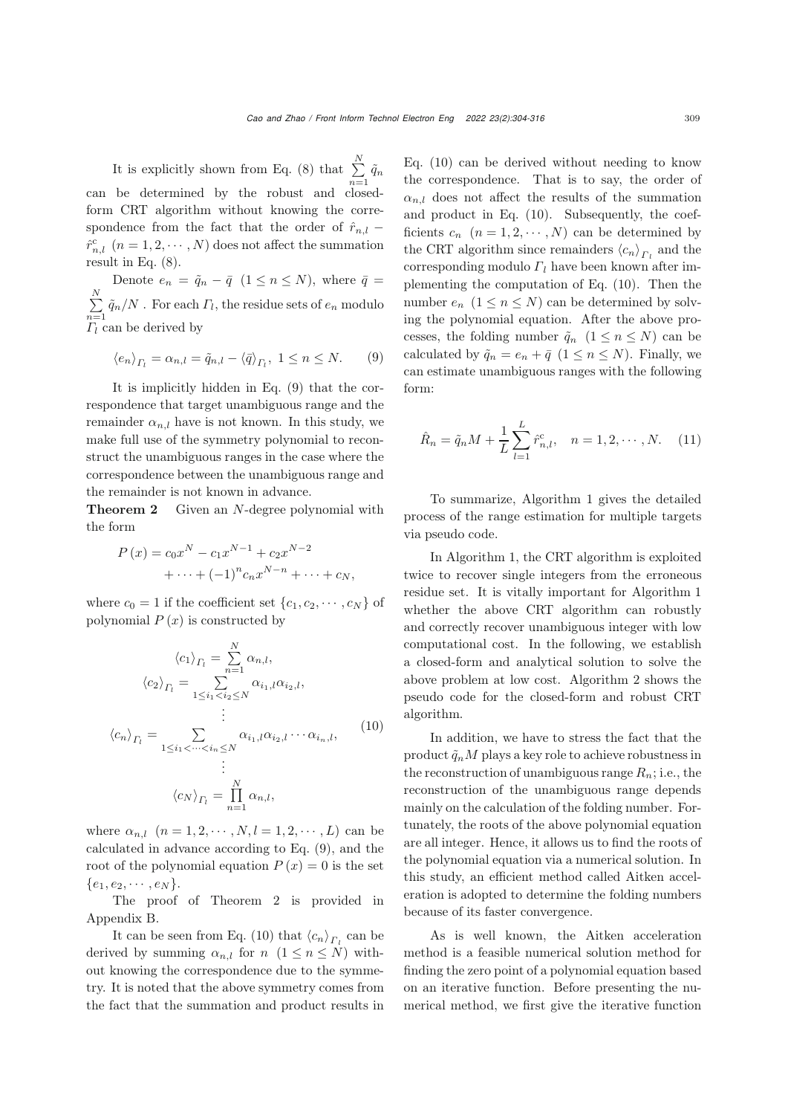It is explicitly shown from Eq. (8) that  $\sum_{i=1}^{N}$  $\sum_{n=1}^{\infty} \tilde{q}_n$ can be determined by the robust and closedform CRT algorithm without knowing the correspondence from the fact that the order of  $\hat{r}_{n,l}$  –  $\hat{r}_{n,l}^c$   $(n = 1, 2, \cdots, N)$  does not affect the summation result in Eq. (8).

Denote  $e_n = \tilde{q}_n - \bar{q}$   $(1 \leq n \leq N)$ , where  $\bar{q}$  =  $\sum^N$  $\sum_{n=1}^{N} \tilde{q}_n/N$ . For each  $\Gamma_l$ , the residue sets of  $e_n$  modulo  $\Gamma_l$  can be derived by

$$
\langle e_n \rangle_{\Gamma_l} = \alpha_{n,l} = \tilde{q}_{n,l} - \langle \bar{q} \rangle_{\Gamma_l}, \ 1 \le n \le N. \tag{9}
$$

It is implicitly hidden in Eq. (9) that the correspondence that target unambiguous range and the remainder  $\alpha_{n,l}$  have is not known. In this study, we make full use of the symmetry polynomial to reconstruct the unambiguous ranges in the case where the correspondence between the unambiguous range and the remainder is not known in advance.

**Theorem 2** Given an N-degree polynomial with the form

$$
P(x) = c_0 x^N - c_1 x^{N-1} + c_2 x^{N-2} + \dots + (-1)^n c_n x^{N-n} + \dots + c_N,
$$

where  $c_0 = 1$  if the coefficient set  $\{c_1, c_2, \dots, c_N\}$  of polynomial  $P(x)$  is constructed by

$$
\langle c_1 \rangle_{\Gamma_l} = \sum_{n=1}^N \alpha_{n,l},
$$

$$
\langle c_2 \rangle_{\Gamma_l} = \sum_{1 \le i_1 < i_2 \le N} \alpha_{i_1,l} \alpha_{i_2,l},
$$

$$
\vdots
$$

$$
\langle c_n \rangle_{\Gamma_l} = \sum_{1 \le i_1 < \dots < i_n \le N} \alpha_{i_1,l} \alpha_{i_2,l} \dotsm \alpha_{i_n,l},
$$

$$
\vdots
$$

$$
\langle c_N \rangle_{\Gamma_l} = \prod_{n=1}^N \alpha_{n,l},
$$

$$
(10)
$$

where  $\alpha_{n,l}$   $(n = 1, 2, \dots, N, l = 1, 2, \dots, L)$  can be calculated in advance according to Eq. (9), and the root of the polynomial equation  $P(x)=0$  is the set  $\{e_1, e_2, \cdots, e_N\}.$ 

The proof of Theorem 2 is provided in Appendix B.

It can be seen from Eq. (10) that  $\langle c_n \rangle_{\Gamma}$  can be derived by summing  $\alpha_{n,l}$  for  $n \ (1 \leq n \leq N)$  without knowing the correspondence due to the symmetry. It is noted that the above symmetry comes from the fact that the summation and product results in

Eq. (10) can be derived without needing to know the correspondence. That is to say, the order of  $\alpha_{n,l}$  does not affect the results of the summation and product in Eq. (10). Subsequently, the coefficients  $c_n$   $(n = 1, 2, \dots, N)$  can be determined by the CRT algorithm since remainders  $\langle c_n \rangle_{\Gamma_l}$  and the corresponding modulo  $\Gamma_l$  have been known after implementing the computation of Eq. (10). Then the number  $e_n$   $(1 \leq n \leq N)$  can be determined by solving the polynomial equation. After the above processes, the folding number  $\tilde{q}_n$   $(1 \leq n \leq N)$  can be calculated by  $\tilde{q}_n = e_n + \bar{q}$   $(1 \leq n \leq N)$ . Finally, we can estimate unambiguous ranges with the following form:

$$
\hat{R}_n = \tilde{q}_n M + \frac{1}{L} \sum_{l=1}^{L} \hat{r}_{n,l}^c, \quad n = 1, 2, \cdots, N. \quad (11)
$$

To summarize, Algorithm 1 gives the detailed process of the range estimation for multiple targets via pseudo code.

In Algorithm 1, the CRT algorithm is exploited twice to recover single integers from the erroneous residue set. It is vitally important for Algorithm 1 whether the above CRT algorithm can robustly and correctly recover unambiguous integer with low computational cost. In the following, we establish a closed-form and analytical solution to solve the above problem at low cost. Algorithm 2 shows the pseudo code for the closed-form and robust CRT algorithm.

In addition, we have to stress the fact that the product  $\tilde{q}_n M$  plays a key role to achieve robustness in the reconstruction of unambiguous range  $R_n$ ; i.e., the reconstruction of the unambiguous range depends mainly on the calculation of the folding number. Fortunately, the roots of the above polynomial equation are all integer. Hence, it allows us to find the roots of the polynomial equation via a numerical solution. In this study, an efficient method called Aitken acceleration is adopted to determine the folding numbers because of its faster convergence.

As is well known, the Aitken acceleration method is a feasible numerical solution method for finding the zero point of a polynomial equation based on an iterative function. Before presenting the numerical method, we first give the iterative function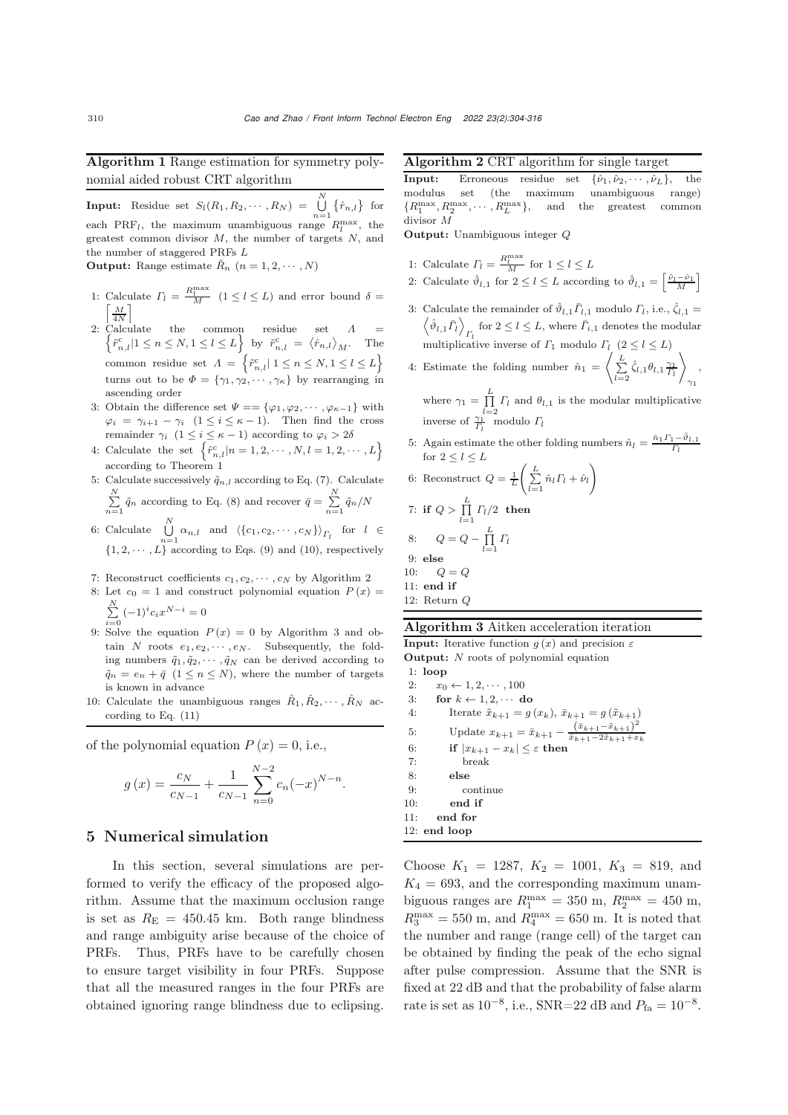Algorithm 1 Range estimation for symmetry polynomial aided robust CRT algorithm

**Input:** Residue set  $S_l(R_1, R_2, \dots, R_N) = \bigcup_{n=1}^N$  $\bigcup_{n=1}$  { $\hat{r}_{n,l}$ } for each PRF<sub>l</sub>, the maximum unambiguous range  $R_l^{\text{max}}$ , the greatest common divisor  $M$ , the number of targets  $N$ , and the number of staggered PRFs L **Output:** Range estimate  $\hat{R}_n$   $(n = 1, 2, \dots, N)$ 

- 1: Calculate  $\Gamma_l = \frac{R_l^{\text{max}}}{M}$  ( $1 \le l \le L$ ) and error bound  $\delta = \lceil \frac{M}{M} \rceil$ 4N 1
- 2: Calculate the common residue set  $\Lambda = \begin{cases} \tilde{\tau}^c & |1 \leq n \leq N, 1 \leq l \leq L \end{cases}$  by  $\tilde{\tau}^c = \langle \hat{\tau} \rangle$ .  $\tilde{r}_{n,l}^c | 1 \leq n \leq N, 1 \leq l \leq L$  by  $\tilde{r}_{n,l}^c = \langle \hat{r}_{n,l} \rangle_M$ . The common residue set  $A = \left\{ \tilde{r}_{n,l}^c | 1 \leq n \leq N, 1 \leq l \leq L \right\}$ turns out to be  $\Phi = {\gamma_1, \gamma_2, \cdots, \gamma_{\kappa}}$  by rearranging in ascending order
- 3: Obtain the difference set  $\Psi = {\varphi_1, \varphi_2, \cdots, \varphi_{\kappa-1}}$  with  $\varphi_i = \gamma_{i+1} - \gamma_i \ \ (1 \leq i \leq \kappa - 1).$  Then find the cross remainder  $\gamma_i\;\;(1\leq i\leq \kappa-1)$  according to  $\varphi_i>2\delta$
- 4: Calculate the set  $\left\{\hat{r}_{n,l}^c | n = 1, 2, \cdots, N, l = 1, 2, \cdots, L\right\}$  according to Theorem 1
- 5: Calculate successively  $\tilde{q}_{n,l}$  according to Eq. (7). Calculate  $\sum_{n=1}^{N} \tilde{q}_n$  according to Eq. (8) and recover  $\bar{q} = \sum_{n=1}^{N} \tilde{q}_n/N$
- 6: Calculate  $\bigcup^N$  $\bigcup_{n=1} \alpha_{n,l}$  and  $\langle \{c_1, c_2, \cdots, c_N\} \rangle_{\Gamma_l}$  for  $l \in$  $\{1, 2, \dots, L\}$  according to Eqs. (9) and (10), respectively
- 7: Reconstruct coefficients  $c_1, c_2, \cdots, c_N$  by Algorithm 2
- 8: Let  $c_0 = 1$  and construct polynomial equation  $P(x) =$  $\sum_{i=0}^{N} (-1)^{i} c_i x^{N-i} = 0$
- 9: Solve the equation  $P(x) = 0$  by Algorithm 3 and ob-<br>taip N rocks as  $\mathcal{L}_{\text{max}}$ . Subsequently, the fold tain  $N$  roots  $e_1, e_2, \cdots, e_N$ . Subsequently, the folding numbers  $\tilde{q}_1, \tilde{q}_2, \cdots, \tilde{q}_N$  can be derived according to  $\tilde{q}_n = e_n + \bar{q} \ \ (1 \leq n \leq N)$ , where the number of targets is known in advance
- 10: Calculate the unambiguous ranges  $\hat{R}_1, \hat{R}_2, \cdots, \hat{R}_N$  according to Eq. (11)

of the polynomial equation  $P(x)=0$ , i.e.,

$$
g(x) = \frac{c_N}{c_{N-1}} + \frac{1}{c_{N-1}} \sum_{n=0}^{N-2} c_n (-x)^{N-n}.
$$

#### 5 Numerical simulation

In this section, several simulations are performed to verify the efficacy of the proposed algorithm. Assume that the maximum occlusion range is set as  $R_{\rm E} = 450.45$  km. Both range blindness and range ambiguity arise because of the choice of PRFs. Thus, PRFs have to be carefully chosen to ensure target visibility in four PRFs. Suppose that all the measured ranges in the four PRFs are obtained ignoring range blindness due to eclipsing.

Algorithm 2 CRT algorithm for single target

**Input:** Erroneous residue set  $\{\hat{\nu}_1, \hat{\nu}_2, \dots, \hat{\nu}_L\}$ , the modulus set (the maximum unambiguous range) unambiguous  ${R_1^{\text{max}} , R_2^{\text{max}} , \cdots , R_L^{\text{max}}}$ , and the greatest common divisor divisor M

Output: Unambiguous integer Q

- 1: Calculate  $\Gamma_l = \frac{R_l^{\max}}{M}$  for  $1 \le l \le L$ 2: Calculate  $\hat{\vartheta}_{l,1}$  for  $2 \leq l \leq L$  according to  $\hat{\vartheta}_{l,1} = \left[\frac{\hat{\nu}_l - \hat{\nu}_1}{M}\right]$
- 3: Calculate the remainder of  $\hat{\vartheta}_{l,1}\bar{\varGamma}_{l,1}$  modulo  $\varGamma_l$ , i.e.,  $\hat{\zeta}_{l,1}$  =  $\left\{\hat{\vartheta}_{l,1}\bar{\varGamma}_l\right\}_{\Gamma_l}$  for  $2 \leq l \leq L$ , where  $\bar{\varGamma}_{i,1}$  denotes the modular multiplicative inverse of  $\Gamma_1$  modulo  $\Gamma_l$  (2  $\le l \le L$ )
- 4: Estimate the folding number  $\hat{n}_1 = \begin{pmatrix} L \\ \sum_{l=2}^{L} \zeta_l \end{pmatrix}$  $\hat{\zeta}_{l,1}\theta_{l,1}\frac{\gamma_1}{\varGamma_l}$  $\setminus$ ,  $\gamma_1$

where  $\gamma_1 = \prod_{l=2}^L \Gamma_l$  and  $\theta_{l,1}$  is the modular multiplicative inverse of  $\frac{\gamma_1}{\Gamma_l}$  modulo  $\Gamma_l$ 

5: Again estimate the other folding numbers  $\hat{n}_l = \frac{\hat{n}_1 \Gamma_1 - \hat{\vartheta}_{l,1}}{\Gamma_l}$ for  $2\leq l\leq L$  $\lambda$ 

6: Reconstruct 
$$
Q = \frac{1}{L} \left( \sum_{l=1}^{L} \hat{n}_l \Gamma_l + \hat{\nu}_l \right)
$$

7: if 
$$
Q > \prod_{l=1}^{L} \Gamma_l/2
$$
 then  
\n8:  $Q = Q - \prod_{l=1}^{L} \Gamma_l$   
\n9: else

```
10: Q = Q11: end if
```

```
12: Return Q
```
#### Algorithm 3 Aitken acceleration iteration

**Input:** Iterative function  $g(x)$  and precision  $\varepsilon$ Output: N roots of polynomial equation 1: loop 2:  $x_0 \leftarrow 1, 2, \cdots, 100$ <br>3: for  $k \leftarrow 1, 2, \cdots$  d 3: for  $k \leftarrow 1, 2, \cdots$  do<br>4: Iterate  $\tilde{x}_{k+1} = a$ 4: Iterate  $\tilde{x}_{k+1} = g(x_k), \ \bar{x}_{k+1} = g(\tilde{x}_{k+1})$ <br>5: Update  $x_{k+1} = \bar{x}_{k+1} - \frac{(\bar{x}_{k+1} - \tilde{x}_{k+1})^2}{2}$ 5: Update  $x_{k+1} = \bar{x}_{k+1} - \frac{(\bar{x}_{k+1} - \tilde{x}_{k+1})^2}{\bar{x}_{k+1} - 2\tilde{x}_{k+1} + x}$  $\frac{\bar{x}_{k+1}-2\tilde{x}_{k+1}+x_k}{\bar{x}_{k+1}+x_{k}}$ 6: **if**  $|x_{k+1} - x_k| \leq \varepsilon$  **then**<br>7: **break** 7: break 8: else 9: continue 10: end if 11: end for 12: end loop

Choose  $K_1 = 1287, K_2 = 1001, K_3 = 819, \text{ and}$  $K_4 = 693$ , and the corresponding maximum unambiguous ranges are  $R_1^{\text{max}} = 350 \text{ m}$ ,  $R_2^{\text{max}} = 450 \text{ m}$ ,  $R_3^{\text{max}} = 550 \text{ m}$ , and  $R_4^{\text{max}} = 650 \text{ m}$ . It is noted that the number and range (range cell) of the target can be obtained by finding the peak of the echo signal after pulse compression. Assume that the SNR is fixed at 22 dB and that the probability of false alarm rate is set as  $10^{-8}$ , i.e., SNR=22 dB and  $P_{fa} = 10^{-8}$ .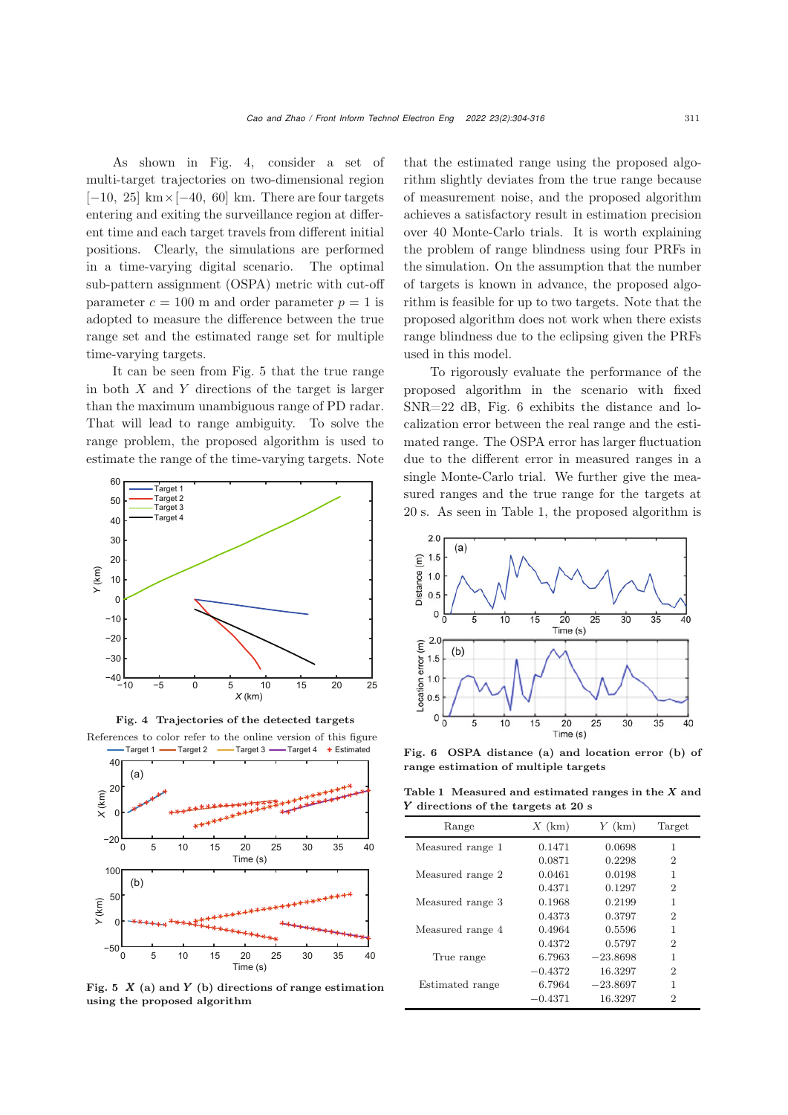As shown in Fig. 4, consider a set of multi-target trajectories on two-dimensional region  $[-10, 25]$  km× $[-40, 60]$  km. There are four targets entering and exiting the surveillance region at different time and each target travels from different initial positions. Clearly, the simulations are performed in a time-varying digital scenario. The optimal sub-pattern assignment (OSPA) metric with cut-off parameter  $c = 100$  m and order parameter  $p = 1$  is adopted to measure the difference between the true range set and the estimated range set for multiple time-varying targets.

It can be seen from Fig. [5](#page-7-0) that the true range in both  $X$  and  $Y$  directions of the target is larger than the maximum unambiguous range of PD radar. That will lead to range ambiguity. To solve the range problem, the proposed algorithm is used to estimate the range of the time-varying targets. Note





References to color refer to the online version of this figure Target 1 — Target 2 — Target 3 — Target 4 \* Estimated



<span id="page-7-0"></span>Fig. 5  $X$  (a) and Y (b) directions of range estimation using the proposed algorithm

that the estimated range using the proposed algorithm slightly deviates from the true range because of measurement noise, and the proposed algorithm achieves a satisfactory result in estimation precision over 40 Monte-Carlo trials. It is worth explaining the problem of range blindness using four PRFs in the simulation. On the assumption that the number of targets is known in advance, the proposed algorithm is feasible for up to two targets. Note that the proposed algorithm does not work when there exists range blindness due to the eclipsing given the PRFs used in this model.

To rigorously evaluate the performance of the proposed algorithm in the scenario with fixed SNR=22 dB, Fig. [6](#page-7-1) exhibits the distance and localization error between the real range and the estimated range. The OSPA error has larger fluctuation due to the different error in measured ranges in a single Monte-Carlo trial. We further give the measured ranges and the true range for the targets at 20 s. As seen in Table 1, the proposed algorithm is



<span id="page-7-1"></span>Fig. 6 OSPA distance (a) and location error (b) of range estimation of multiple targets

Table 1 Measured and estimated ranges in the  $X$  and Y directions of the targets at 20 s

|                  | o         |            |                |
|------------------|-----------|------------|----------------|
| Range            | $X$ (km)  | $Y$ (km)   | Target         |
| Measured range 1 | 0.1471    | 0.0698     | 1              |
|                  | 0.0871    | 0.2298     | 2              |
| Measured range 2 | 0.0461    | 0.0198     | 1              |
|                  | 0.4371    | 0.1297     | 2              |
| Measured range 3 | 0.1968    | 0.2199     | 1              |
|                  | 0.4373    | 0.3797     | $\overline{2}$ |
| Measured range 4 | 0.4964    | 0.5596     | 1              |
|                  | 0.4372    | 0.5797     | 2              |
| True range       | 6.7963    | $-23.8698$ | 1              |
|                  | $-0.4372$ | 16.3297    | 2              |
| Estimated range  | 6.7964    | $-23.8697$ | 1              |
|                  | $-0.4371$ | 16.3297    | 2              |
|                  |           |            |                |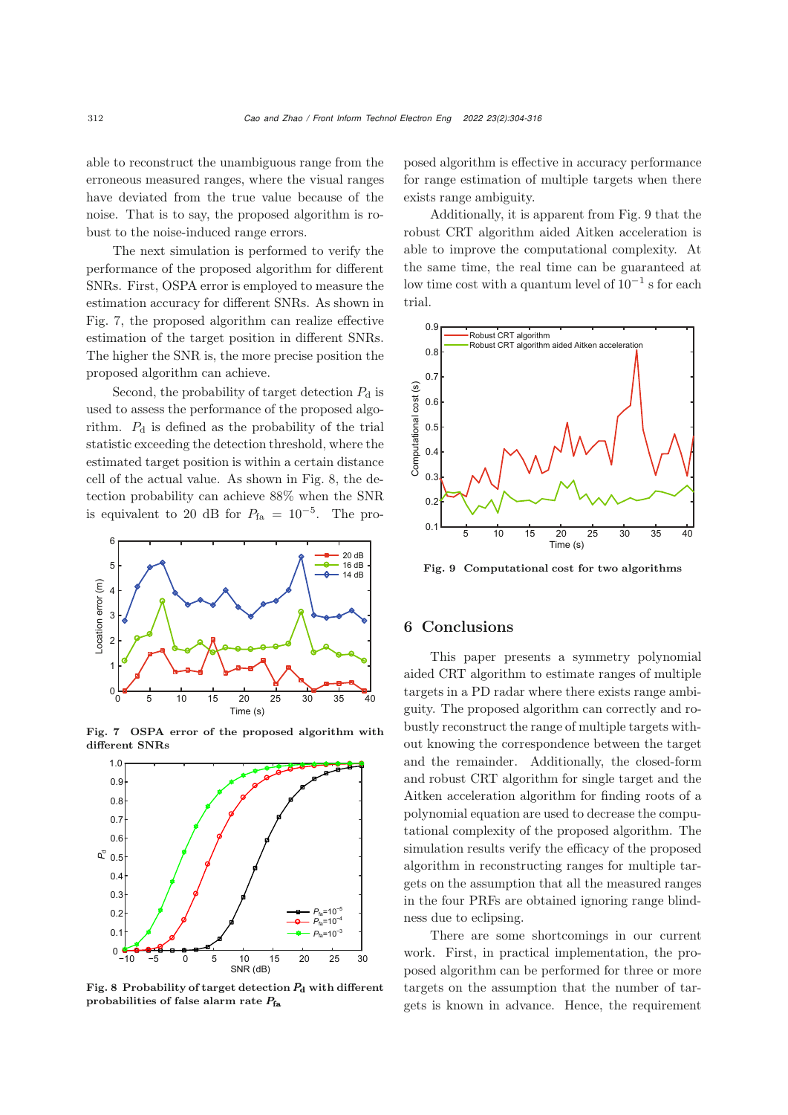able to reconstruct the unambiguous range from the erroneous measured ranges, where the visual ranges have deviated from the true value because of the noise. That is to say, the proposed algorithm is robust to the noise-induced range errors.

The next simulation is performed to verify the performance of the proposed algorithm for different SNRs. First, OSPA error is employed to measure the estimation accuracy for different SNRs. As shown in Fig. [7,](#page-8-0) the proposed algorithm can realize effective estimation of the target position in different SNRs. The higher the SNR is, the more precise position the proposed algorithm can achieve.

Second, the probability of target detection  $P_d$  is used to assess the performance of the proposed algorithm.  $P_d$  is defined as the probability of the trial statistic exceeding the detection threshold, where the estimated target position is within a certain distance cell of the actual value. As shown in Fig. [8,](#page-8-1) the detection probability can achieve 88% when the SNR is equivalent to 20 dB for  $P_{fa} = 10^{-5}$ . The pro-



Fig. 7 OSPA error of the proposed algorithm with different SNRs

<span id="page-8-0"></span>

<span id="page-8-1"></span>Fig. 8 Probability of target detection  $P_d$  with different probabilities of false alarm rate  $P_{fa}$ 

posed algorithm is effective in accuracy performance for range estimation of multiple targets when there exists range ambiguity.

Additionally, it is apparent from Fig. [9](#page-8-2) that the robust CRT algorithm aided Aitken acceleration is able to improve the computational complexity. At the same time, the real time can be guaranteed at low time cost with a quantum level of  $10^{-1}$  s for each trial.



<span id="page-8-2"></span>Fig. 9 Computational cost for two algorithms

### 6 Conclusions

This paper presents a symmetry polynomial aided CRT algorithm to estimate ranges of multiple targets in a PD radar where there exists range ambiguity. The proposed algorithm can correctly and robustly reconstruct the range of multiple targets without knowing the correspondence between the target and the remainder. Additionally, the closed-form and robust CRT algorithm for single target and the Aitken acceleration algorithm for finding roots of a polynomial equation are used to decrease the computational complexity of the proposed algorithm. The simulation results verify the efficacy of the proposed algorithm in reconstructing ranges for multiple targets on the assumption that all the measured ranges in the four PRFs are obtained ignoring range blindness due to eclipsing.

There are some shortcomings in our current work. First, in practical implementation, the proposed algorithm can be performed for three or more targets on the assumption that the number of targets is known in advance. Hence, the requirement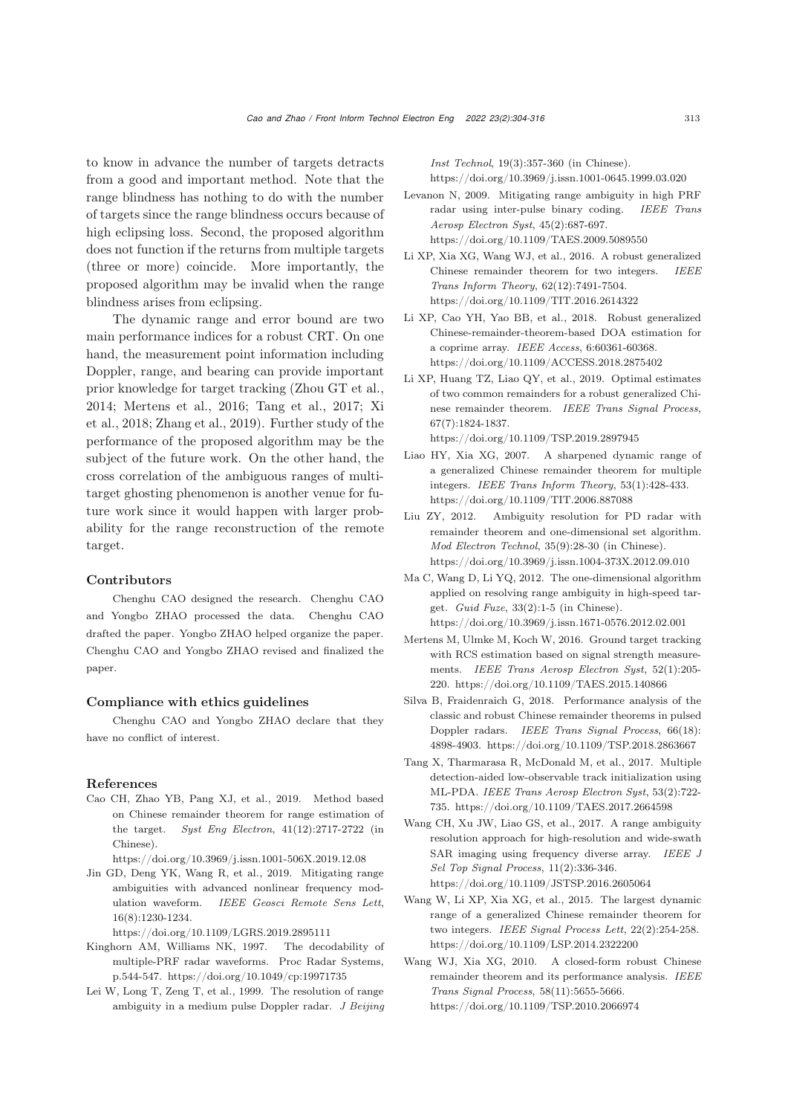to know in advance the number of targets detracts from a good and important method. Note that the range blindness has nothing to do with the number of targets since the range blindness occurs because of high eclipsing loss. Second, the proposed algorithm does not function if the returns from multiple targets (three or more) coincide. More importantly, the proposed algorithm may be invalid when the range blindness arises from eclipsing.

The dynamic range and error bound are two main performance indices for a robust CRT. On one hand, the measurement point information including Doppler, range, and bearing can provide important prior knowledge for target tracking (Zhou GT et al., 2014; Mertens et al., 2016; Tang et al., 2017; Xi et al., 2018; Zhang et al., 2019). Further study of the performance of the proposed algorithm may be the subject of the future work. On the other hand, the cross correlation of the ambiguous ranges of multitarget ghosting phenomenon is another venue for future work since it would happen with larger probability for the range reconstruction of the remote target.

#### Contributors

Chenghu CAO designed the research. Chenghu CAO and Yongbo ZHAO processed the data. Chenghu CAO drafted the paper. Yongbo ZHAO helped organize the paper. Chenghu CAO and Yongbo ZHAO revised and finalized the paper.

## Compliance with ethics guidelines

Chenghu CAO and Yongbo ZHAO declare that they have no conflict of interest.

#### References

- <span id="page-9-0"></span>Cao CH, Zhao YB, Pang XJ, et al., 2019. Method based on Chinese remainder theorem for range estimation of the target. *Syst Eng Electron*, 41(12):2717-2722 (in Chinese).
- https://doi.org/10.3969/j.issn.1001-506X.2019.12.08
- <span id="page-9-2"></span>Jin GD, Deng YK, Wang R, et al., 2019. Mitigating range ambiguities with advanced nonlinear frequency modulation waveform. *IEEE Geosci Remote Sens Lett*, 16(8):1230-1234.

https://doi.org/10.1109/LGRS.2019.2895111

- <span id="page-9-3"></span>Kinghorn AM, Williams NK, 1997. The decodability of multiple-PRF radar waveforms. Proc Radar Systems, p.544-547. https://doi.org/10.1049/cp:19971735
- <span id="page-9-8"></span>Lei W, Long T, Zeng T, et al., 1999. The resolution of range ambiguity in a medium pulse Doppler radar. *J Beijing*

*Inst Technol*, 19(3):357-360 (in Chinese). https://doi.org/10.3969/j.issn.1001-0645.1999.03.020

- <span id="page-9-1"></span>Levanon N, 2009. Mitigating range ambiguity in high PRF radar using inter-pulse binary coding. *IEEE Trans Aerosp Electron Syst*, 45(2):687-697. https://doi.org/10.1109/TAES.2009.5089550
- <span id="page-9-10"></span>Li XP, Xia XG, Wang WJ, et al., 2016. A robust generalized Chinese remainder theorem for two integers. *IEEE Trans Inform Theory*, 62(12):7491-7504. https://doi.org/10.1109/TIT.2016.2614322
- <span id="page-9-12"></span>Li XP, Cao YH, Yao BB, et al., 2018. Robust generalized Chinese-remainder-theorem-based DOA estimation for a coprime array. *IEEE Access*, 6:60361-60368. https://doi.org/10.1109/ACCESS.2018.2875402
- Li XP, Huang TZ, Liao QY, et al., 2019. Optimal estimates of two common remainders for a robust generalized Chinese remainder theorem. *IEEE Trans Signal Process*, 67(7):1824-1837. https://doi.org/10.1109/TSP.2019.2897945
- <span id="page-9-11"></span>Liao HY, Xia XG, 2007. A sharpened dynamic range of a generalized Chinese remainder theorem for multiple integers. *IEEE Trans Inform Theory*, 53(1):428-433. https://doi.org/10.1109/TIT.2006.887088
- <span id="page-9-5"></span>Liu ZY, 2012. Ambiguity resolution for PD radar with remainder theorem and one-dimensional set algorithm. *Mod Electron Technol*, 35(9):28-30 (in Chinese). https://doi.org/10.3969/j.issn.1004-373X.2012.09.010
- <span id="page-9-6"></span>Ma C, Wang D, Li YQ, 2012. The one-dimensional algorithm applied on resolving range ambiguity in high-speed target. *Guid Fuze*, 33(2):1-5 (in Chinese). https://doi.org/10.3969/j.issn.1671-0576.2012.02.001
- Mertens M, Ulmke M, Koch W, 2016. Ground target tracking with RCS estimation based on signal strength measurements. *IEEE Trans Aerosp Electron Syst*, 52(1):205- 220. https://doi.org/10.1109/TAES.2015.140866
- <span id="page-9-9"></span>Silva B, Fraidenraich G, 2018. Performance analysis of the classic and robust Chinese remainder theorems in pulsed Doppler radars. *IEEE Trans Signal Process*, 66(18): 4898-4903. https://doi.org/10.1109/TSP.2018.2863667
- Tang X, Tharmarasa R, McDonald M, et al., 2017. Multiple detection-aided low-observable track initialization using ML-PDA. *IEEE Trans Aerosp Electron Syst*, 53(2):722- 735. https://doi.org/10.1109/TAES.2017.2664598
- <span id="page-9-7"></span>Wang CH, Xu JW, Liao GS, et al., 2017. A range ambiguity resolution approach for high-resolution and wide-swath SAR imaging using frequency diverse array. *IEEE J Sel Top Signal Process*, 11(2):336-346. https://doi.org/10.1109/JSTSP.2016.2605064
- Wang W, Li XP, Xia XG, et al., 2015. The largest dynamic range of a generalized Chinese remainder theorem for two integers. *IEEE Signal Process Lett*, 22(2):254-258. https://doi.org/10.1109/LSP.2014.2322200
- <span id="page-9-4"></span>Wang WJ, Xia XG, 2010. A closed-form robust Chinese remainder theorem and its performance analysis. *IEEE Trans Signal Process*, 58(11):5655-5666. https://doi.org/10.1109/TSP.2010.2066974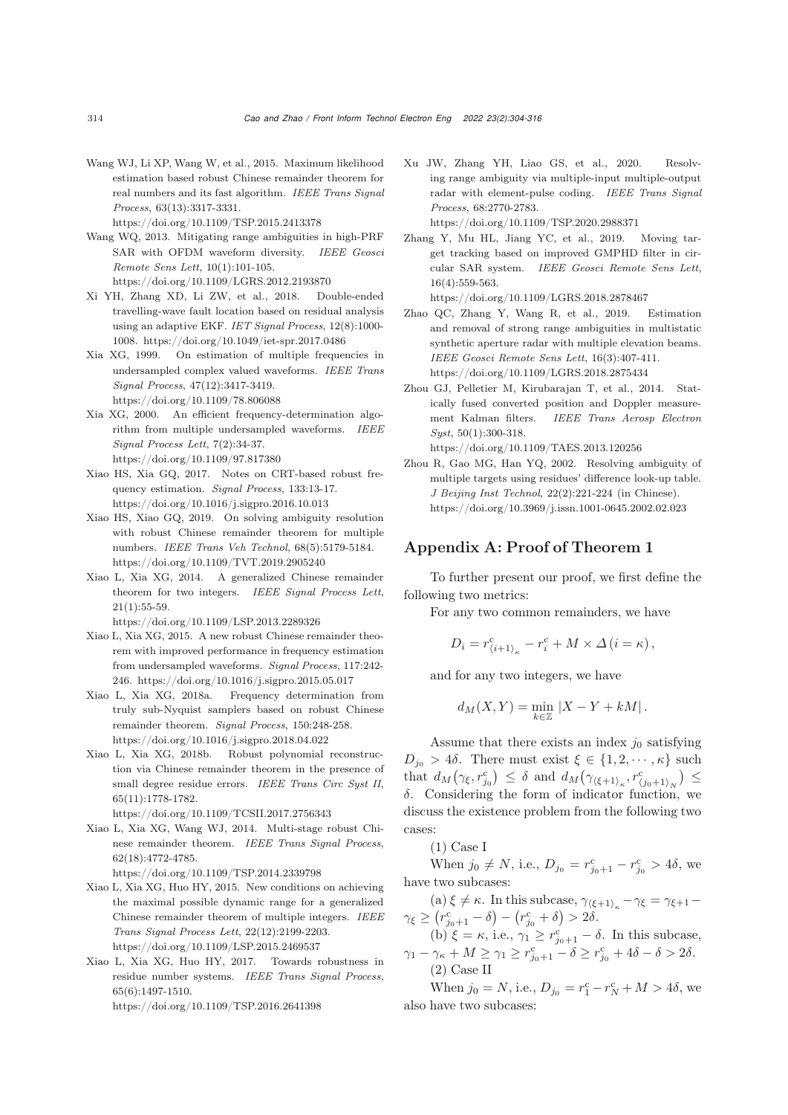<span id="page-10-9"></span>Wang WJ, Li XP, Wang W, et al., 2015. Maximum likelihood estimation based robust Chinese remainder theorem for real numbers and its fast algorithm. *IEEE Trans Signal Process*, 63(13):3317-3331.

https://doi.org/10.1109/TSP.2015.2413378

- <span id="page-10-2"></span>Wang WQ, 2013. Mitigating range ambiguities in high-PRF SAR with OFDM waveform diversity. *IEEE Geosci Remote Sens Lett*, 10(1):101-105. https://doi.org/10.1109/LGRS.2012.2193870
- Xi YH, Zhang XD, Li ZW, et al., 2018. Double-ended travelling-wave fault location based on residual analysis using an adaptive EKF. *IET Signal Process*, 12(8):1000- 1008. https://doi.org/10.1049/iet-spr.2017.0486
- <span id="page-10-7"></span>Xia XG, 1999. On estimation of multiple frequencies in undersampled complex valued waveforms. *IEEE Trans Signal Process*, 47(12):3417-3419. https://doi.org/10.1109/78.806088
- <span id="page-10-8"></span>Xia XG, 2000. An efficient frequency-determination algorithm from multiple undersampled waveforms. *IEEE Signal Process Lett*, 7(2):34-37. https://doi.org/10.1109/97.817380
- <span id="page-10-10"></span>Xiao HS, Xia GQ, 2017. Notes on CRT-based robust frequency estimation. *Signal Process*, 133:13-17. https://doi.org/10.1016/j.sigpro.2016.10.013
- <span id="page-10-5"></span>Xiao HS, Xiao GQ, 2019. On solving ambiguity resolution with robust Chinese remainder theorem for multiple numbers. *IEEE Trans Veh Technol*, 68(5):5179-5184. https://doi.org/10.1109/TVT.2019.2905240
- <span id="page-10-11"></span>Xiao L, Xia XG, 2014. A generalized Chinese remainder theorem for two integers. *IEEE Signal Process Lett*,  $21(1):55-59.$

https://doi.org/10.1109/LSP.2013.2289326

- <span id="page-10-6"></span>Xiao L, Xia XG, 2015. A new robust Chinese remainder theorem with improved performance in frequency estimation from undersampled waveforms. *Signal Process*, 117:242- 246. https://doi.org/10.1016/j.sigpro.2015.05.017
- Xiao L, Xia XG, 2018a. Frequency determination from truly sub-Nyquist samplers based on robust Chinese remainder theorem. *Signal Process*, 150:248-258. https://doi.org/10.1016/j.sigpro.2018.04.022
- <span id="page-10-12"></span>Xiao L, Xia XG, 2018b. Robust polynomial reconstruction via Chinese remainder theorem in the presence of small degree residue errors. *IEEE Trans Circ Syst II*, 65(11):1778-1782.

https://doi.org/10.1109/TCSII.2017.2756343

<span id="page-10-13"></span>Xiao L, Xia XG, Wang WJ, 2014. Multi-stage robust Chinese remainder theorem. *IEEE Trans Signal Process*, 62(18):4772-4785.

https://doi.org/10.1109/TSP.2014.2339798

- <span id="page-10-14"></span>Xiao L, Xia XG, Huo HY, 2015. New conditions on achieving the maximal possible dynamic range for a generalized Chinese remainder theorem of multiple integers. *IEEE Trans Signal Process Lett*, 22(12):2199-2203. https://doi.org/10.1109/LSP.2015.2469537
- <span id="page-10-4"></span>Xiao L, Xia XG, Huo HY, 2017. Towards robustness in residue number systems. *IEEE Trans Signal Process*, 65(6):1497-1510. https://doi.org/10.1109/TSP.2016.2641398
- <span id="page-10-0"></span>Xu JW, Zhang YH, Liao GS, et al., 2020. Resolving range ambiguity via multiple-input multiple-output radar with element-pulse coding. *IEEE Trans Signal Process*, 68:2770-2783. https://doi.org/10.1109/TSP.2020.2988371
- Zhang Y, Mu HL, Jiang YC, et al., 2019. Moving target tracking based on improved GMPHD filter in circular SAR system. *IEEE Geosci Remote Sens Lett*, 16(4):559-563.

https://doi.org/10.1109/LGRS.2018.2878467

- <span id="page-10-3"></span>Zhao QC, Zhang Y, Wang R, et al., 2019. Estimation and removal of strong range ambiguities in multistatic synthetic aperture radar with multiple elevation beams. *IEEE Geosci Remote Sens Lett*, 16(3):407-411. https://doi.org/10.1109/LGRS.2018.2875434
- Zhou GJ, Pelletier M, Kirubarajan T, et al., 2014. Statically fused converted position and Doppler measurement Kalman filters. *IEEE Trans Aerosp Electron Syst*, 50(1):300-318.

https://doi.org/10.1109/TAES.2013.120256

<span id="page-10-1"></span>Zhou R, Gao MG, Han YQ, 2002. Resolving ambiguity of multiple targets using residues' difference look-up table. *J Beijing Inst Technol*, 22(2):221-224 (in Chinese). https://doi.org/10.3969/j.issn.1001-0645.2002.02.023

# Appendix A: Proof of Theorem 1

To further present our proof, we first define the following two metrics:

For any two common remainders, we have

$$
D_i = r^{\rm c}_{\langle i+1\rangle_\kappa} - r^{\rm c}_i + M \times \varDelta \left(i = \kappa\right),
$$

and for any two integers, we have

$$
d_M(X,Y) = \min_{k \in \mathbb{Z}} |X - Y + kM|.
$$

Assume that there exists an index  $j_0$  satisfying  $D_{j_0} > 4\delta$ . There must exist  $\xi \in \{1, 2, \cdots, \kappa\}$  such that  $d_M(\gamma_{\xi}, r_{j_0}^c) \leq \delta$  and  $d_M(\gamma_{\langle \xi+1 \rangle_{\kappa}}, r_{\langle j_0+1 \rangle_N}^c) \leq$ δ. Considering the form of indicator function, we discuss the existence problem from the following two cases:

(1) Case I

When  $j_0 \neq N$ , i.e.,  $D_{j_0} = r_{j_0+1}^{\text{c}} - r_{j_0}^{\text{c}} > 4\delta$ , we have two subcases:

(a)  $\xi \neq \kappa$ . In this subcase,  $\gamma_{\langle \xi+1 \rangle_{\kappa}} - \gamma_{\xi} = \gamma_{\xi+1} - \gamma_{\xi}$  $\gamma_{\xi} \geq (r_{j_0+1}^{\rm c} - \delta) - (r_{j_0}^{\rm c} + \delta) > 2\delta.$ 

(b)  $\xi = \kappa$ , i.e.,  $\gamma_1 \geq r_{j_0+1}^c - \delta$ . In this subcase,  $\gamma_1 - \gamma_\kappa + M \ge \gamma_1 \ge r_{j_0+1}^{\mathsf{c}} - \delta \ge r_{j_0}^{\mathsf{c}} + 4\delta - \delta > 2\delta.$ (2) Case II

When  $j_0 = N$ , i.e.,  $D_{j_0} = r_1^c - r_N^c + M > 4\delta$ , we also have two subcases: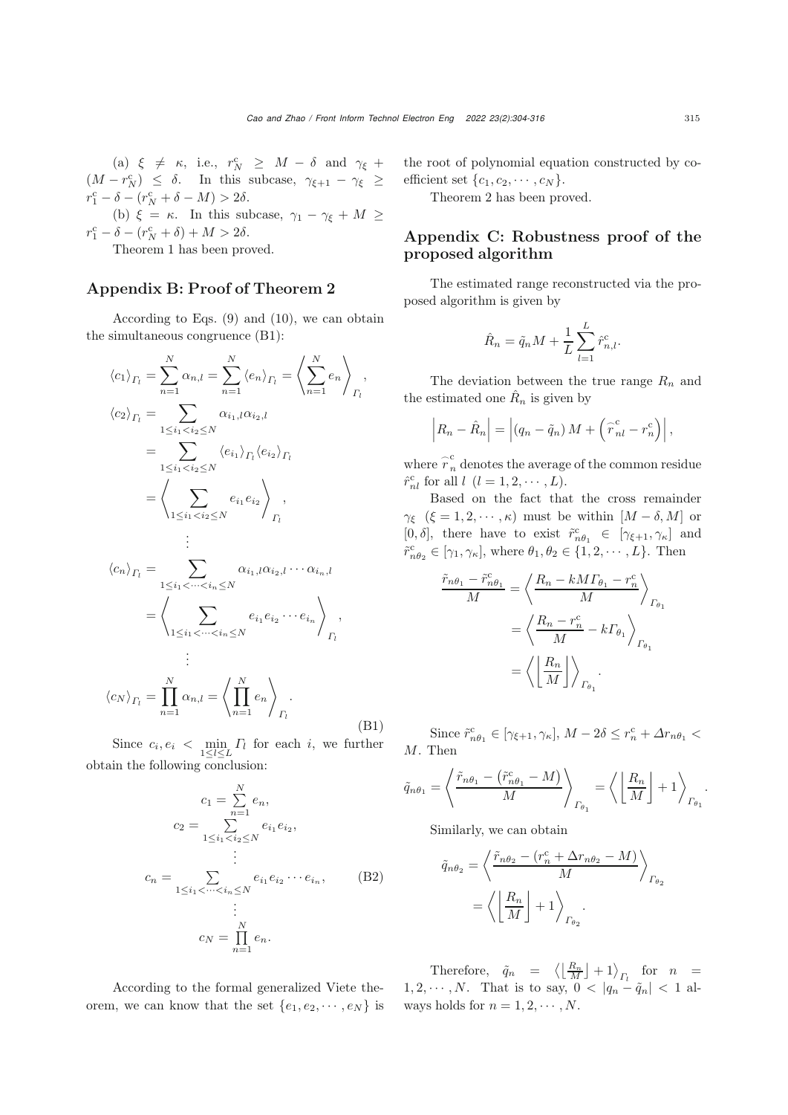(a)  $\xi \neq \kappa$ , i.e.,  $r_N^c \geq M - \delta$  and  $\gamma_{\xi}$  +  $(M - r_N^{\rm c}) \leq \delta$ . In this subcase,  $\gamma_{\xi+1} - \gamma_{\xi} \geq$  $r_1^{\rm c} - \delta - (r_N^{\rm c} + \delta - M) > 2\delta.$ 

(b)  $\xi = \kappa$ . In this subcase,  $\gamma_1 - \gamma_{\xi} + M \geq$  $r_1^{\rm c} - \delta - (r_N^{\rm c} + \delta) + M > 2\delta.$ 

Theorem 1 has been proved.

## Appendix B: Proof of Theorem 2

According to Eqs. (9) and (10), we can obtain the simultaneous congruence (B1):

$$
\langle c_1 \rangle_{\Gamma_l} = \sum_{n=1}^N \alpha_{n,l} = \sum_{n=1}^N \langle e_n \rangle_{\Gamma_l} = \left\langle \sum_{n=1}^N e_n \right\rangle_{\Gamma_l},
$$
  
\n
$$
\langle c_2 \rangle_{\Gamma_l} = \sum_{1 \le i_1 < i_2 \le N} \alpha_{i_1, l} \alpha_{i_2, l}
$$
  
\n
$$
= \sum_{1 \le i_1 < i_2 \le N} \langle e_{i_1} \rangle_{\Gamma_l} \langle e_{i_2} \rangle_{\Gamma_l}
$$
  
\n
$$
= \left\langle \sum_{1 \le i_1 < i_2 \le N} e_{i_1} e_{i_2} \right\rangle_{\Gamma_l},
$$
  
\n
$$
\vdots
$$
  
\n
$$
\langle c_n \rangle_{\Gamma_l} = \sum_{1 \le i_1 < \dots < i_n \le N} \alpha_{i_1, l} \alpha_{i_2, l} \cdots \alpha_{i_n, l}
$$
  
\n
$$
= \left\langle \sum_{1 \le i_1 < \dots < i_n \le N} e_{i_1} e_{i_2} \cdots e_{i_n} \right\rangle_{\Gamma_l},
$$
  
\n
$$
\vdots
$$
  
\n
$$
\langle c_N \rangle_{\Gamma_l} = \prod_{n=1}^N \alpha_{n,l} = \left\langle \prod_{n=1}^N e_n \right\rangle_{\Gamma_l}.
$$
  
\n(B1)

Since  $c_i, e_i < \min_{1 \leq l \leq L} \Gamma_l$  for each i, we further obtain the following conclusion:

$$
c_1 = \sum_{n=1}^{N} e_n,
$$
  
\n
$$
c_2 = \sum_{1 \le i_1 < i_2 \le N}^{n=1} e_{i_1} e_{i_2},
$$
  
\n
$$
\vdots
$$
  
\n
$$
c_n = \sum_{1 \le i_1 < \dots < i_n \le N} e_{i_1} e_{i_2} \dots e_{i_n},
$$
  
\n
$$
\vdots
$$
  
\n
$$
c_N = \prod_{n=1}^{N} e_n.
$$
\n(B2)

According to the formal generalized Viete theorem, we can know that the set  $\{e_1, e_2, \cdots, e_N\}$  is the root of polynomial equation constructed by coefficient set  $\{c_1, c_2, \cdots, c_N\}$ .

Theorem 2 has been proved.

# Appendix C: Robustness proof of the proposed algorithm

The estimated range reconstructed via the proposed algorithm is given by

$$
\hat{R}_n = \tilde{q}_n M + \frac{1}{L} \sum_{l=1}^L \hat{r}_{n,l}^{\text{c}}.
$$

The deviation between the true range  $R_n$  and the estimated one  $\hat{R}_n$  is given by

$$
\left|R_n - \hat{R}_n\right| = \left|(q_n - \tilde{q}_n) M + \left(\tilde{r}_{nl}^c - r_n^c\right)\right|,
$$

where  $\overset{\sim}{r}{}_n^{\rm c}$  denotes the average of the common residue  $\hat{r}^c_{nl}$  for all  $l$   $(l = 1, 2, \cdots, L)$ .

Based on the fact that the cross remainder  $\gamma_{\xi}$  ( $\xi = 1, 2, \cdots, \kappa$ ) must be within  $[M - \delta, M]$  or  $[0,\delta], \;\; \text{there} \;\; \text{have} \;\; \text{to} \;\; \text{exist} \;\; \tilde{r}_{n\theta_1}^{\text{c}} \;\; \in \;\; [\gamma_{\xi+1},\gamma_{\kappa}] \;\; \text{and}$  $\tilde{r}^c_{n\theta_2} \in [\gamma_1, \gamma_\kappa],$  where  $\theta_1, \theta_2 \in \{1, 2, \cdots, L\}.$  Then

$$
\frac{\tilde{r}_{n\theta_1} - \tilde{r}_{n\theta_1}^c}{M} = \left\langle \frac{R_n - kM\Gamma_{\theta_1} - r_n^c}{M} \right\rangle_{\Gamma_{\theta_1}}
$$

$$
= \left\langle \frac{R_n - r_n^c}{M} - k\Gamma_{\theta_1} \right\rangle_{\Gamma_{\theta_1}}
$$

$$
= \left\langle \left\lfloor \frac{R_n}{M} \right\rfloor \right\rangle_{\Gamma_{\theta_1}}.
$$

Since  $\tilde{r}_{n\theta_1}^{\text{c}} \in [\gamma_{\xi+1}, \gamma_{\kappa}], M - 2\delta \leq r_n^{\text{c}} + \Delta r_{n\theta_1}$ M. Then

$$
\tilde{q}_{n\theta_1} = \left\langle \frac{\tilde{r}_{n\theta_1} - (\tilde{r}_{n\theta_1}^c - M)}{M} \right\rangle_{\Gamma_{\theta_1}} = \left\langle \left\lfloor \frac{R_n}{M} \right\rfloor + 1 \right\rangle_{\Gamma_{\theta_1}}.
$$

Similarly, we can obtain

$$
\tilde{q}_{n\theta_2} = \left\langle \frac{\tilde{r}_{n\theta_2} - (r_n^c + \Delta r_{n\theta_2} - M)}{M} \right\rangle_{\Gamma_{\theta_2}}
$$
\n
$$
= \left\langle \left( \frac{R_n}{M} \right) + 1 \right\rangle_{\Gamma_{\theta_2}}.
$$

Therefore,  $\tilde{q}_n = \left\langle \left\lfloor \frac{R_n}{M} \right\rfloor + 1 \right\rangle_{\Gamma_l}$  for  $n =$  $1, 2, \cdots, N$ . That is to say,  $0 < |q_n - \tilde{q}_n| < 1$  always holds for  $n = 1, 2, \cdots, N$ .